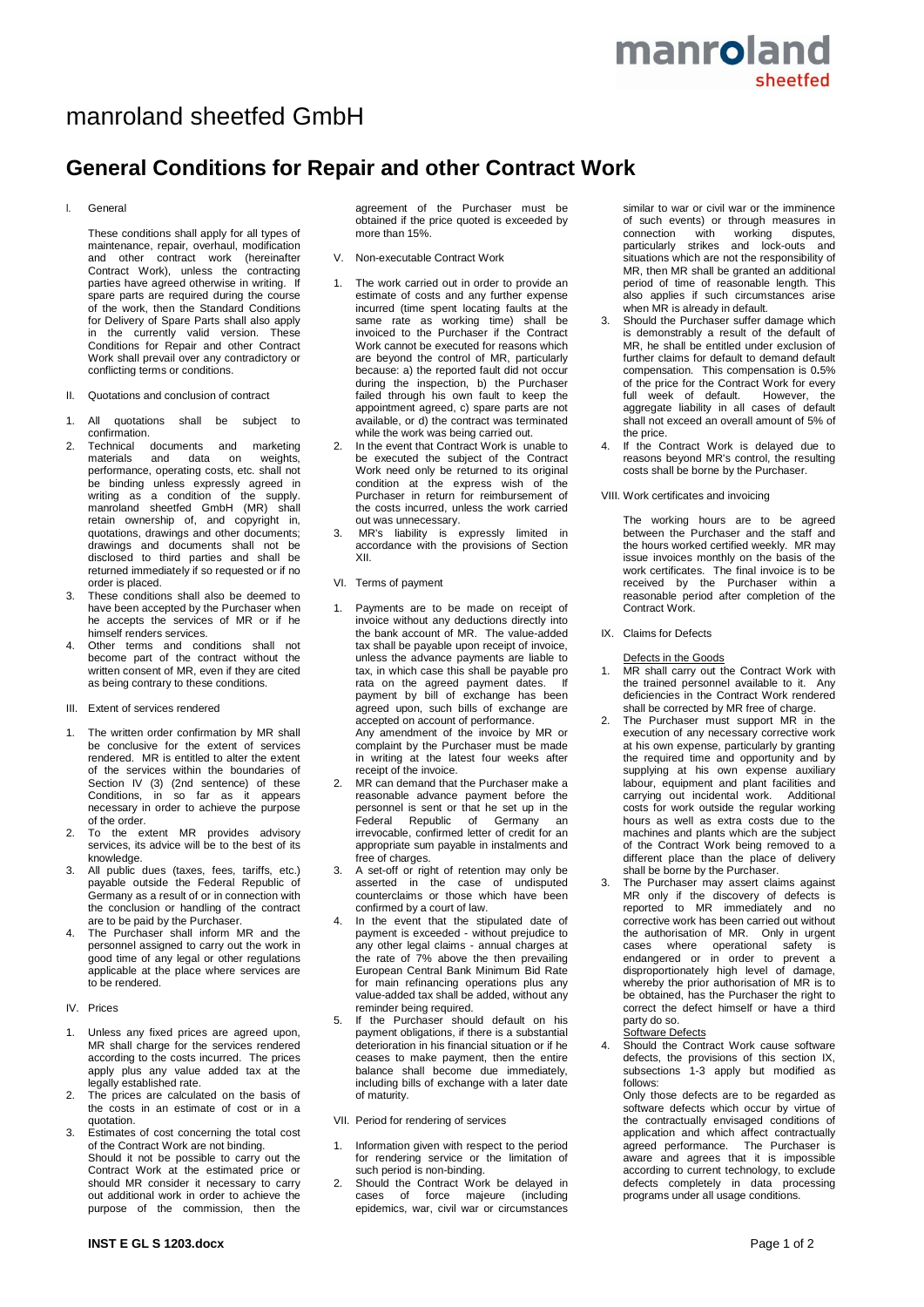## manroland sheetfed

# manroland sheetfed GmbH

### **General Conditions for Repair and other Contract Work**

#### I. General

These conditions shall apply for all types of maintenance, repair, overhaul, modification and other contract work (hereinafter Contract Work), unless the contracting parties have agreed otherwise in writing. If spare parts are required during the course of the work, then the Standard Conditions for Delivery of Spare Parts shall also apply in the currently valid version. These Conditions for Repair and other Contract Work shall prevail over any contradictory or conflicting terms or conditions.

- II. Quotations and conclusion of contract
- 1. All quotations shall be subject to confirmation.
- 2. Technical documents and marketing<br>materials and data on weights. and data on performance, operating costs, etc. shall not be binding unless expressly agreed in writing as a condition of the supply. manroland sheetfed GmbH (MR) shall retain ownership of, and copyright in, quotations, drawings and other documents; drawings and documents shall not be disclosed to third parties and shall be returned immediately if so requested or if no order is placed.
- 3. These conditions shall also be deemed to have been accepted by the Purchaser when he accepts the services of MR or if he himself renders services.
- 4. Other terms and conditions shall not become part of the contract without the written consent of MR, even if they are cited as being contrary to these conditions.

#### III. Extent of services rendered

- 1. The written order confirmation by MR shall be conclusive for the extent of services rendered. MR is entitled to alter the extent of the services within the boundaries of Section IV (3) (2nd sentence) of these Conditions, in so far as it appears necessary in order to achieve the purpose of the order.
- 2. To the extent MR provides advisory services, its advice will be to the best of its knowledge.
- 3. All public dues (taxes, fees, tariffs, etc.) payable outside the Federal Republic of Germany as a result of or in connection with the conclusion or handling of the contract are to be paid by the Purchaser.
- 4. The Purchaser shall inform MR and the personnel assigned to carry out the work in good time of any legal or other regulations applicable at the place where services are to be rendered.

#### IV. Prices

- 1. Unless any fixed prices are agreed upon, MR shall charge for the services rendered according to the costs incurred. The prices apply plus any value added tax at the legally established rate.
- 2. The prices are calculated on the basis of the costs in an estimate of cost or in a quotation.
- $\overline{\mathsf{E}}$ stimates of cost concerning the total cost of the Contract Work are not binding. Should it not be possible to carry out the Contract Work at the estimated price or should MR consider it necessary to carry out additional work in order to achieve the purpose of the commission, then the

agreement of the Purchaser must be obtained if the price quoted is exceeded by more than 15%.

- V. Non-executable Contract Work
- 1. The work carried out in order to provide an estimate of costs and any further expense incurred (time spent locating faults at the same rate as working time) shall be invoiced to the Purchaser if the Contract Work cannot be executed for reasons which are beyond the control of MR, particularly because: a) the reported fault did not occur during the inspection, b) the Purchaser failed through his own fault to keep the appointment agreed, c) spare parts are not available, or d) the contract was terminated while the work was being carried out.
- 2. In the event that Contract Work is unable to be executed the subject of the Contract Work need only be returned to its original condition at the express wish of the Purchaser in return for reimbursement of the costs incurred, unless the work carried out was unnecessary.
- 3. MR's liability is expressly limited in accordance with the provisions of Section XII.
- VI. Terms of payment
- 1. Payments are to be made on receipt of invoice without any deductions directly into the bank account of MR. The value-added tax shall be payable upon receipt of invoice, unless the advance payments are liable to tax, in which case this shall be payable pro rata on the agreed payment dates. payment by bill of exchange has been agreed upon, such bills of exchange are accepted on account of performance. Any amendment of the invoice by MR or complaint by the Purchaser must be made in writing at the latest four weeks after receipt of the invoice.
- MR can demand that the Purchaser make a reasonable advance payment before the personnel is sent or that he set up in the Federal Republic of Germany an irrevocable, confirmed letter of credit for an appropriate sum payable in instalments and free of charges.
- A set-off or right of retention may only be asserted in the case of undisputed counterclaims or those which have been confirmed by a court of law.
- 4. In the event that the stipulated date of payment is exceeded - without prejudice to any other legal claims - annual charges at the rate of 7% above the then prevailing European Central Bank Minimum Bid Rate for main refinancing operations plus any value-added tax shall be added, without any reminder being required.
- 5. If the Purchaser should default on his payment obligations, if there is a substantial deterioration in his financial situation or if he ceases to make payment, then the entire balance shall become due immediately, including bills of exchange with a later date of maturity.
- VII. Period for rendering of services
- 1. Information given with respect to the period for rendering service or the limitation of such period is non-binding.
- 2. Should the Contract Work be delayed in cases of force majeure (including epidemics, war, civil war or circumstances

similar to war or civil war or the imminence of such events) or through measures in connection with working disputes, particularly strikes and lock-outs and situations which are not the responsibility of MR, then MR shall be granted an additional period of time of reasonable length. This also applies if such circumstances arise when MR is already in default.

- Should the Purchaser suffer damage which is demonstrably a result of the default of MR, he shall be entitled under exclusion of further claims for default to demand default compensation. This compensation is 0**.**5% of the price for the Contract Work for every full week of default. However, the aggregate liability in all cases of default shall not exceed an overall amount of 5% of the price.
- 4. If the Contract Work is delayed due to reasons beyond MR's control, the resulting costs shall be borne by the Purchaser.
- VIII. Work certificates and invoicing

The working hours are to be agreed between the Purchaser and the staff and the hours worked certified weekly. MR may issue invoices monthly on the basis of the work certificates. The final invoice is to be received by the Purchaser within a reasonable period after completion of the Contract Work.

IX. Claims for Defects

Defects in the Goods

- 1. MR shall carry out the Contract Work with the trained personnel available to it. Any deficiencies in the Contract Work rendered shall be corrected by MR free of charge.
- 2. The Purchaser must support MR in the execution of any necessary corrective work at his own expense, particularly by granting the required time and opportunity and by supplying at his own expense auxiliary labour, equipment and plant facilities and carrying out incidental work. Additional costs for work outside the regular working hours as well as extra costs due to the machines and plants which are the subject of the Contract Work being removed to a different place than the place of delivery shall be borne by the Purchaser.
- 3. The Purchaser may assert claims against MR only if the discovery of defects is reported to MR immediately and no corrective work has been carried out without the authorisation of MR. Only in urgent cases where operational safety is endangered or in order to prevent a disproportionately high level of damage, whereby the prior authorisation of MR is to be obtained, has the Purchaser the right to correct the defect himself or have a third party do so.

#### Software Defects

Should the Contract Work cause software defects, the provisions of this section IX, subsections 1-3 apply but modified as follows:

Only those defects are to be regarded as software defects which occur by virtue of the contractually envisaged conditions of application and which affect contractually agreed performance. The Purchaser is aware and agrees that it is impossible according to current technology, to exclude defects completely in data processing programs under all usage conditions.